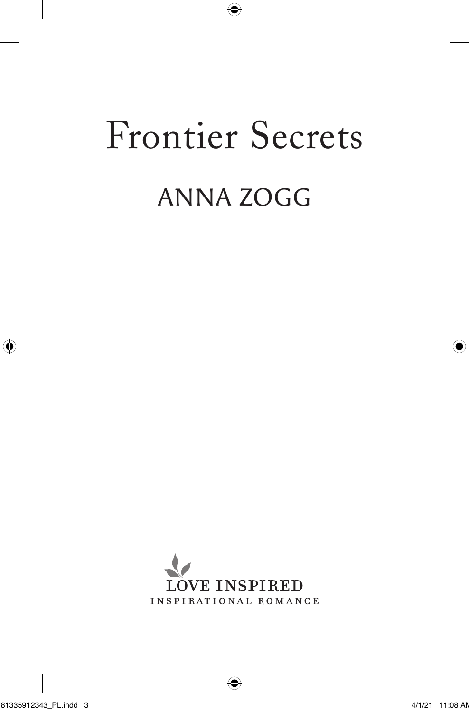## Frontier Secrets ANNA ZOGG

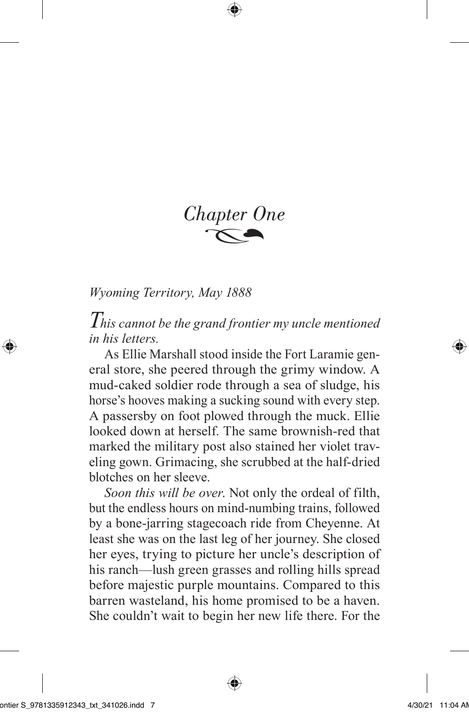

*Wyoming Territory, May 1888*

*This cannot be the grand frontier my uncle mentioned in his letters.*

As Ellie Marshall stood inside the Fort Laramie general store, she peered through the grimy window. A mud-caked soldier rode through a sea of sludge, his horse's hooves making a sucking sound with every step. A passersby on foot plowed through the muck. Ellie looked down at herself. The same brownish-red that marked the military post also stained her violet traveling gown. Grimacing, she scrubbed at the half-dried blotches on her sleeve.

*Soon this will be over*. Not only the ordeal of filth, but the endless hours on mind-numbing trains, followed by a bone-jarring stagecoach ride from Cheyenne. At least she was on the last leg of her journey. She closed her eyes, trying to picture her uncle's description of his ranch—lush green grasses and rolling hills spread before majestic purple mountains. Compared to this barren wasteland, his home promised to be a haven. She couldn't wait to begin her new life there. For the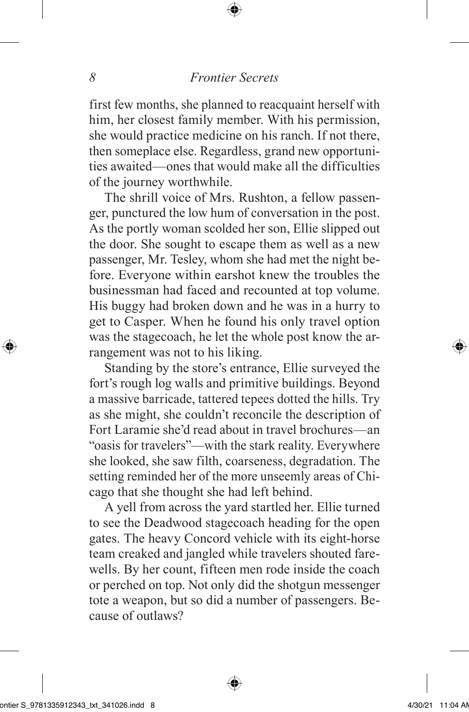first few months, she planned to reacquaint herself with him, her closest family member. With his permission, she would practice medicine on his ranch. If not there, then someplace else. Regardless, grand new opportunities awaited—ones that would make all the difficulties of the journey worthwhile.

The shrill voice of Mrs. Rushton, a fellow passenger, punctured the low hum of conversation in the post. As the portly woman scolded her son, Ellie slipped out the door. She sought to escape them as well as a new passenger, Mr. Tesley, whom she had met the night before. Everyone within earshot knew the troubles the businessman had faced and recounted at top volume. His buggy had broken down and he was in a hurry to get to Casper. When he found his only travel option was the stagecoach, he let the whole post know the arrangement was not to his liking.

Standing by the store's entrance, Ellie surveyed the fort's rough log walls and primitive buildings. Beyond a massive barricade, tattered tepees dotted the hills. Try as she might, she couldn't reconcile the description of Fort Laramie she'd read about in travel brochures—an "oasis for travelers"—with the stark reality. Everywhere she looked, she saw filth, coarseness, degradation. The setting reminded her of the more unseemly areas of Chicago that she thought she had left behind.

A yell from across the yard startled her. Ellie turned to see the Deadwood stagecoach heading for the open gates. The heavy Concord vehicle with its eight-horse team creaked and jangled while travelers shouted farewells. By her count, fifteen men rode inside the coach or perched on top. Not only did the shotgun messenger tote a weapon, but so did a number of passengers. Because of outlaws?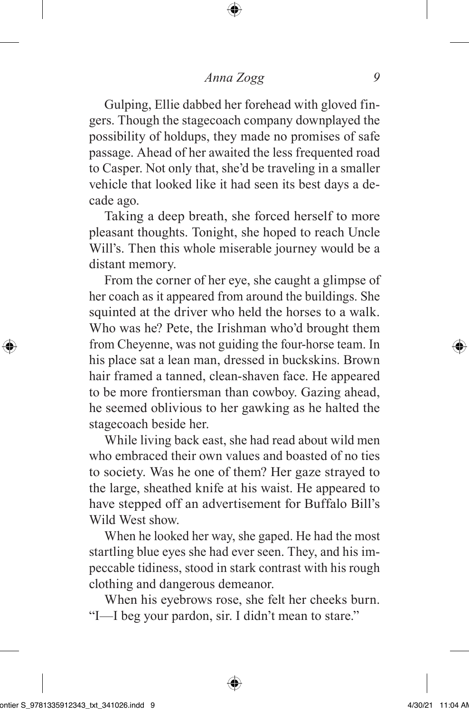Gulping, Ellie dabbed her forehead with gloved fingers. Though the stagecoach company downplayed the possibility of holdups, they made no promises of safe passage. Ahead of her awaited the less frequented road to Casper. Not only that, she'd be traveling in a smaller vehicle that looked like it had seen its best days a decade ago.

Taking a deep breath, she forced herself to more pleasant thoughts. Tonight, she hoped to reach Uncle Will's. Then this whole miserable journey would be a distant memory.

From the corner of her eye, she caught a glimpse of her coach as it appeared from around the buildings. She squinted at the driver who held the horses to a walk. Who was he? Pete, the Irishman who'd brought them from Cheyenne, was not guiding the four-horse team. In his place sat a lean man, dressed in buckskins. Brown hair framed a tanned, clean-shaven face. He appeared to be more frontiersman than cowboy. Gazing ahead, he seemed oblivious to her gawking as he halted the stagecoach beside her.

While living back east, she had read about wild men who embraced their own values and boasted of no ties to society. Was he one of them? Her gaze strayed to the large, sheathed knife at his waist. He appeared to have stepped off an advertisement for Buffalo Bill's Wild West show.

When he looked her way, she gaped. He had the most startling blue eyes she had ever seen. They, and his impeccable tidiness, stood in stark contrast with his rough clothing and dangerous demeanor.

When his eyebrows rose, she felt her cheeks burn. "I—I beg your pardon, sir. I didn't mean to stare."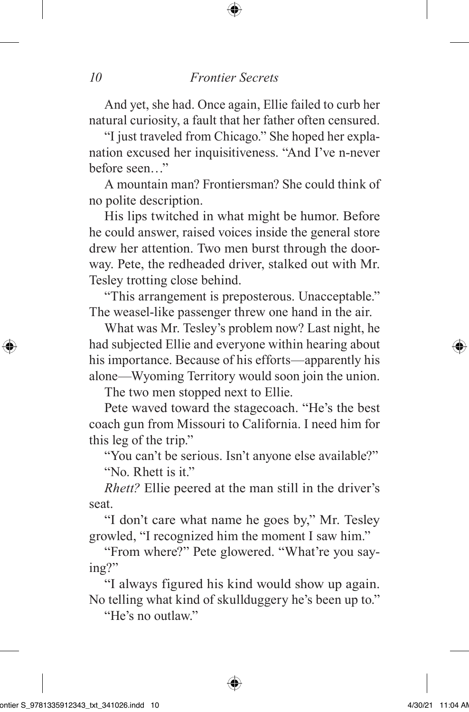And yet, she had. Once again, Ellie failed to curb her natural curiosity, a fault that her father often censured.

"I just traveled from Chicago." She hoped her explanation excused her inquisitiveness. "And I've n-never before seen..."

A mountain man? Frontiersman? She could think of no polite description.

His lips twitched in what might be humor. Before he could answer, raised voices inside the general store drew her attention. Two men burst through the doorway. Pete, the redheaded driver, stalked out with Mr. Tesley trotting close behind.

"This arrangement is preposterous. Unacceptable." The weasel-like passenger threw one hand in the air.

What was Mr. Tesley's problem now? Last night, he had subjected Ellie and everyone within hearing about his importance. Because of his efforts—apparently his alone—Wyoming Territory would soon join the union.

The two men stopped next to Ellie.

Pete waved toward the stagecoach. "He's the best coach gun from Missouri to California. I need him for this leg of the trip."

"You can't be serious. Isn't anyone else available?"

"No. Rhett is it."

*Rhett?* Ellie peered at the man still in the driver's seat.

"I don't care what name he goes by," Mr. Tesley growled, "I recognized him the moment I saw him."

"From where?" Pete glowered. "What're you saying?"

"I always figured his kind would show up again. No telling what kind of skullduggery he's been up to."

"He's no outlaw"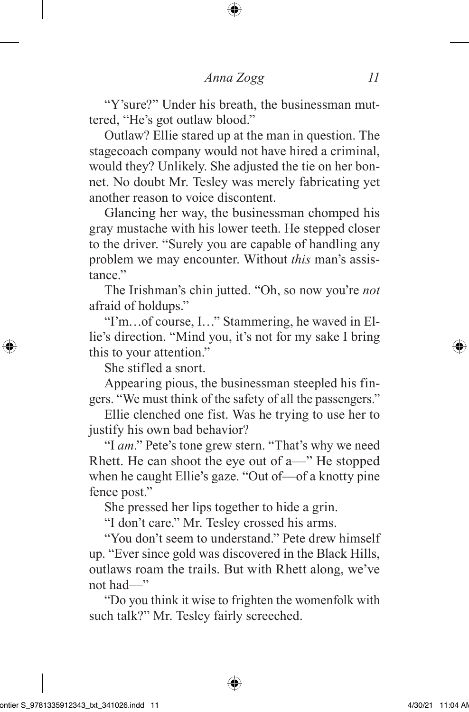"Y'sure?" Under his breath, the businessman muttered, "He's got outlaw blood."

Outlaw? Ellie stared up at the man in question. The stagecoach company would not have hired a criminal, would they? Unlikely. She adjusted the tie on her bonnet. No doubt Mr. Tesley was merely fabricating yet another reason to voice discontent.

Glancing her way, the businessman chomped his gray mustache with his lower teeth. He stepped closer to the driver. "Surely you are capable of handling any problem we may encounter. Without *this* man's assistance"

The Irishman's chin jutted. "Oh, so now you're *not* afraid of holdups."

"I'm…of course, I…" Stammering, he waved in Ellie's direction. "Mind you, it's not for my sake I bring this to your attention."

She stifled a snort.

Appearing pious, the businessman steepled his fingers. "We must think of the safety of all the passengers."

Ellie clenched one fist. Was he trying to use her to justify his own bad behavior?

"I *am*." Pete's tone grew stern. "That's why we need Rhett. He can shoot the eye out of a—" He stopped when he caught Ellie's gaze. "Out of—of a knotty pine fence post."

She pressed her lips together to hide a grin.

"I don't care." Mr. Tesley crossed his arms.

"You don't seem to understand." Pete drew himself up. "Ever since gold was discovered in the Black Hills, outlaws roam the trails. But with Rhett along, we've not had—"

"Do you think it wise to frighten the womenfolk with such talk?" Mr. Tesley fairly screeched.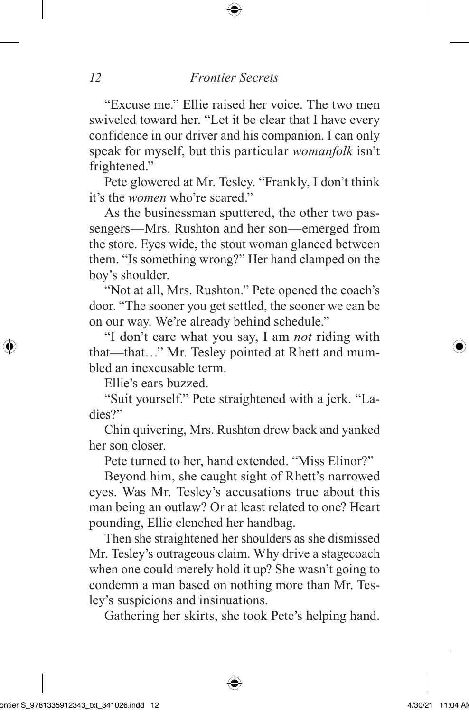"Excuse me." Ellie raised her voice. The two men swiveled toward her. "Let it be clear that I have every confidence in our driver and his companion. I can only speak for myself, but this particular *womanfolk* isn't frightened."

Pete glowered at Mr. Tesley. "Frankly, I don't think it's the *women* who're scared."

As the businessman sputtered, the other two passengers—Mrs. Rushton and her son—emerged from the store. Eyes wide, the stout woman glanced between them. "Is something wrong?" Her hand clamped on the boy's shoulder.

"Not at all, Mrs. Rushton." Pete opened the coach's door. "The sooner you get settled, the sooner we can be on our way. We're already behind schedule."

"I don't care what you say, I am *not* riding with that—that…" Mr. Tesley pointed at Rhett and mumbled an inexcusable term.

Ellie's ears buzzed.

"Suit yourself." Pete straightened with a jerk. "Ladies?"

Chin quivering, Mrs. Rushton drew back and yanked her son closer.

Pete turned to her, hand extended. "Miss Elinor?"

Beyond him, she caught sight of Rhett's narrowed eyes. Was Mr. Tesley's accusations true about this man being an outlaw? Or at least related to one? Heart pounding, Ellie clenched her handbag.

Then she straightened her shoulders as she dismissed Mr. Tesley's outrageous claim. Why drive a stagecoach when one could merely hold it up? She wasn't going to condemn a man based on nothing more than Mr. Tesley's suspicions and insinuations.

Gathering her skirts, she took Pete's helping hand.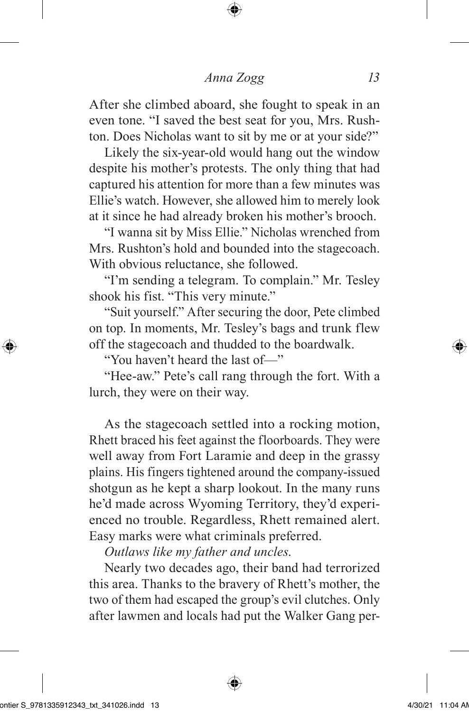*Anna Zogg 13*

After she climbed aboard, she fought to speak in an even tone. "I saved the best seat for you, Mrs. Rushton. Does Nicholas want to sit by me or at your side?"

Likely the six-year-old would hang out the window despite his mother's protests. The only thing that had captured his attention for more than a few minutes was Ellie's watch. However, she allowed him to merely look at it since he had already broken his mother's brooch.

"I wanna sit by Miss Ellie." Nicholas wrenched from Mrs. Rushton's hold and bounded into the stagecoach. With obvious reluctance, she followed.

"I'm sending a telegram. To complain." Mr. Tesley shook his fist. "This very minute."

"Suit yourself." After securing the door, Pete climbed on top. In moments, Mr. Tesley's bags and trunk flew off the stagecoach and thudded to the boardwalk.

"You haven't heard the last of—"

"Hee-aw." Pete's call rang through the fort. With a lurch, they were on their way.

As the stagecoach settled into a rocking motion, Rhett braced his feet against the floorboards. They were well away from Fort Laramie and deep in the grassy plains. His fingers tightened around the company-issued shotgun as he kept a sharp lookout. In the many runs he'd made across Wyoming Territory, they'd experienced no trouble. Regardless, Rhett remained alert. Easy marks were what criminals preferred.

*Outlaws like my father and uncles*.

Nearly two decades ago, their band had terrorized this area. Thanks to the bravery of Rhett's mother, the two of them had escaped the group's evil clutches. Only after lawmen and locals had put the Walker Gang per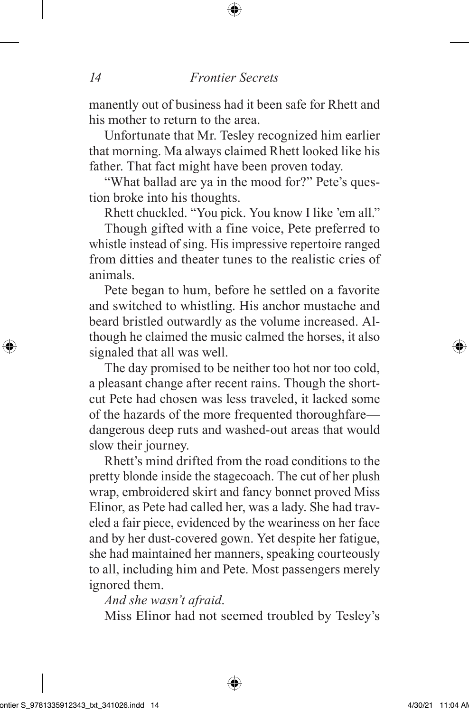manently out of business had it been safe for Rhett and his mother to return to the area.

Unfortunate that Mr. Tesley recognized him earlier that morning. Ma always claimed Rhett looked like his father. That fact might have been proven today.

"What ballad are ya in the mood for?" Pete's question broke into his thoughts.

Rhett chuckled. "You pick. You know I like 'em all."

Though gifted with a fine voice, Pete preferred to whistle instead of sing. His impressive repertoire ranged from ditties and theater tunes to the realistic cries of animals.

Pete began to hum, before he settled on a favorite and switched to whistling. His anchor mustache and beard bristled outwardly as the volume increased. Although he claimed the music calmed the horses, it also signaled that all was well.

The day promised to be neither too hot nor too cold, a pleasant change after recent rains. Though the shortcut Pete had chosen was less traveled, it lacked some of the hazards of the more frequented thoroughfare dangerous deep ruts and washed-out areas that would slow their journey.

Rhett's mind drifted from the road conditions to the pretty blonde inside the stagecoach. The cut of her plush wrap, embroidered skirt and fancy bonnet proved Miss Elinor, as Pete had called her, was a lady. She had traveled a fair piece, evidenced by the weariness on her face and by her dust-covered gown. Yet despite her fatigue, she had maintained her manners, speaking courteously to all, including him and Pete. Most passengers merely ignored them.

*And she wasn't afraid*.

Miss Elinor had not seemed troubled by Tesley's